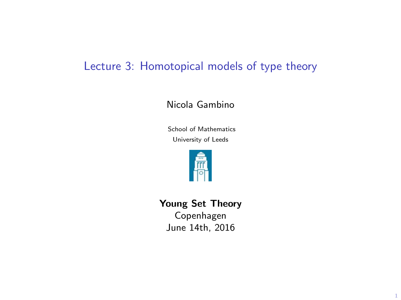# Lecture 3: Homotopical models of type theory

#### Nicola Gambino

School of Mathematics University of Leeds



Young Set Theory Copenhagen

June 14th, 2016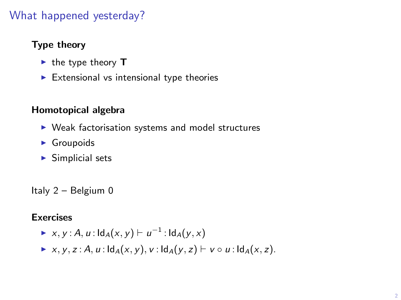## What happened yesterday?

#### Type theory

- $\blacktriangleright$  the type theory **T**
- $\blacktriangleright$  Extensional vs intensional type theories

#### Homotopical algebra

- $\triangleright$  Weak factorisation systems and model structures
- $\blacktriangleright$  Groupoids
- $\blacktriangleright$  Simplicial sets

Italy 2 – Belgium 0

#### Exercises

- ►  $x, y : A, u : \text{Id}_A(x, y) \vdash u^{-1} : \text{Id}_A(y, x)$
- $\triangleright$  x, y, z : A, u :  $\mathsf{Id}_A(x, y)$ , v :  $\mathsf{Id}_A(y, z) \vdash v \circ u$  :  $\mathsf{Id}_A(x, z)$ .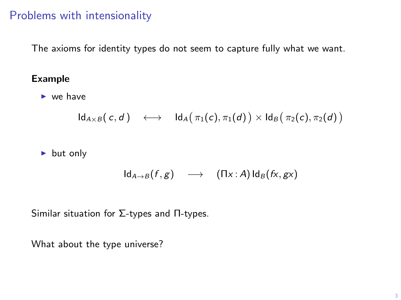## Problems with intensionality

The axioms for identity types do not seem to capture fully what we want.

#### Example

 $\blacktriangleright$  we have

$$
\mathsf{Id}_{A \times B}(\, c, d \, ) \quad \longleftrightarrow \quad \mathsf{Id}_A\big(\, \pi_1(c), \pi_1(d) \,\big) \times \mathsf{Id}_B\big(\, \pi_2(c), \pi_2(d) \,\big)
$$

 $\blacktriangleright$  but only

$$
Id_{A\to B}(f,g) \longrightarrow (\Pi x:A)Id_B(fx,gx)
$$

Similar situation for 
$$
\Sigma
$$
-types and  $\Pi$ -types.

What about the type universe?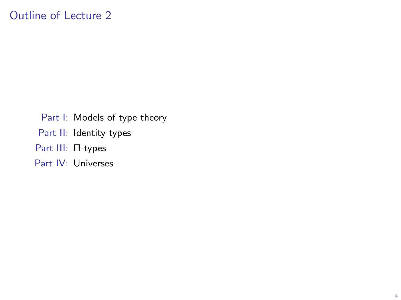Part I: Models of type theory Part II: Identity types Part III: Π-types Part IV: Universes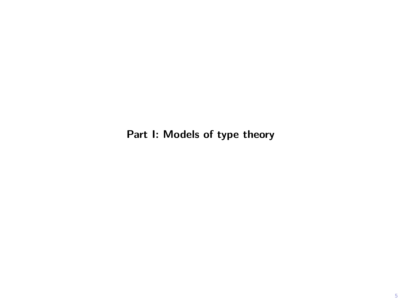Part I: Models of type theory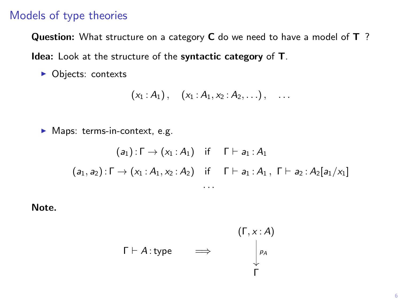### Models of type theories

Question: What structure on a category C do we need to have a model of T?

Idea: Look at the structure of the syntactic category of T.

• Objects: contexts

$$
(x_1 : A_1), (x_1 : A_1, x_2 : A_2, \ldots), \ldots
$$

 $\blacktriangleright$  Maps: terms-in-context, e.g.

$$
(a_1): \Gamma \to (x_1:A_1) \text{ if } \Gamma \vdash a_1:A_1
$$
  

$$
(a_1, a_2): \Gamma \to (x_1:A_1, x_2:A_2) \text{ if } \Gamma \vdash a_1:A_1, \Gamma \vdash a_2:A_2[a_1/x_1]
$$
  
...

Note.

$$
\Gamma \vdash A : \text{type} \qquad \Longrightarrow \qquad \begin{array}{c} (\Gamma, x : A) \\ \downarrow \rho_A \\ \downarrow \end{array}
$$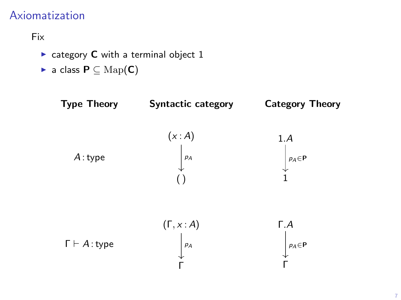## Axiomatization

### Fix



γ<br>Τ

γ<br>Γ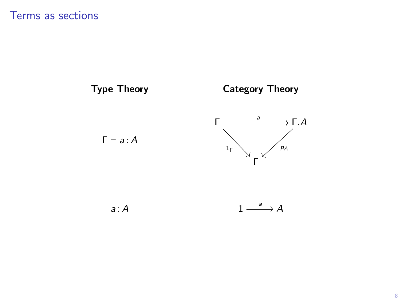

 $a: A$ 

 $\longrightarrow A$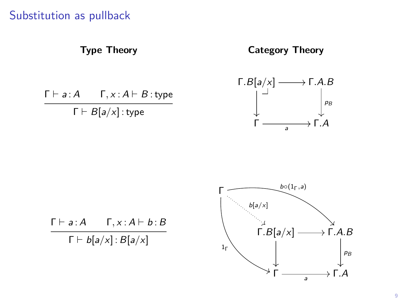## Substitution as pullback







9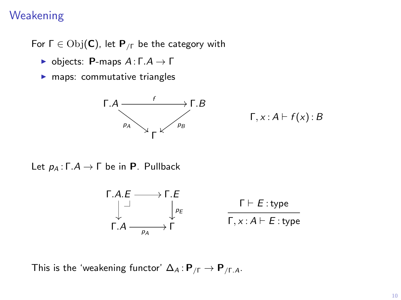## **Weakening**

For  $\Gamma \in \mathrm{Obj}(\mathsf{C})$ , let  $\mathsf{P}_{\textit{f}}$  be the category with

- $\blacktriangleright$  objects: **P**-maps  $A: \Gamma.A \to \Gamma$
- $\blacktriangleright$  maps: commutative triangles



$$
\Gamma, x : A \vdash f(x) : B
$$

Let  $p_A: \Gamma.A \to \Gamma$  be in **P**. Pullback

$$
\begin{array}{ccc}\n\Gamma.A.E & \longrightarrow \Gamma.E \\
\downarrow & \downarrow_{PE} & \Gamma \vdash E:\text{type} \\
\Gamma.A & \longrightarrow & \Gamma & \Gamma, x:A \vdash E:\text{type}\n\end{array}
$$

This is the 'weakening functor'  $\Delta_A : \mathbf{P}_{/\Gamma} \to \mathbf{P}_{/\Gamma.A}$ .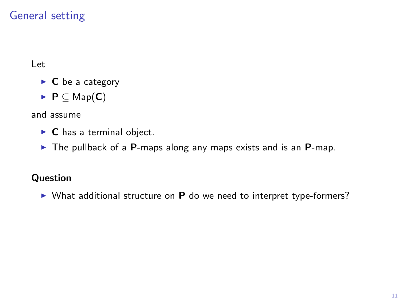# General setting

Let

- $\triangleright$  **C** be a category
- $\blacktriangleright$  P  $\subset$  Map(C)

and assume

- $\triangleright$  **C** has a terminal object.
- $\triangleright$  The pullback of a P-maps along any maps exists and is an P-map.

### **Question**

 $\triangleright$  What additional structure on **P** do we need to interpret type-formers?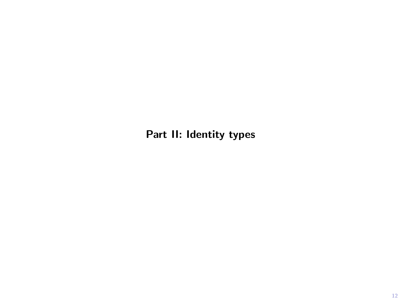Part II: Identity types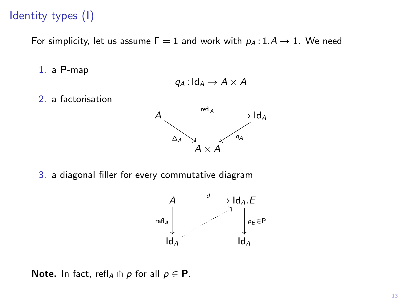## Identity types (I)

For simplicity, let us assume  $\Gamma = 1$  and work with  $p_A : 1.A \rightarrow 1$ . We need

1. a P-map

$$
q_A: \mathsf{Id}_A \to A \times A
$$

2. a factorisation



3. a diagonal filler for every commutative diagram



Note. In fact, refl<sub>A</sub>  $\pitchfork$  p for all  $p \in \mathbf{P}$ .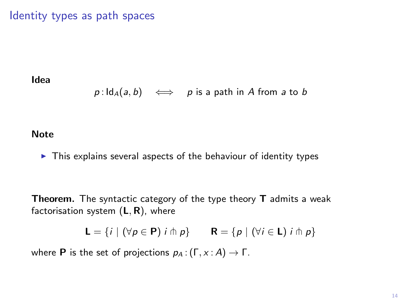### Identity types as path spaces

Idea

 $p: Id_A(a, b) \iff p$  is a path in A from a to b

#### **Note**

 $\triangleright$  This explains several aspects of the behaviour of identity types

Theorem. The syntactic category of the type theory T admits a weak factorisation system  $(L, R)$ , where

 $\mathsf{L} = \{i \mid (\forall p \in \mathsf{P}) \; i \pitchfork p\} \qquad \mathsf{R} = \{p \mid (\forall i \in \mathsf{L}) \; i \pitchfork p\}$ 

where **P** is the set of projections  $p_A$  :  $(\Gamma, x : A) \rightarrow \Gamma$ .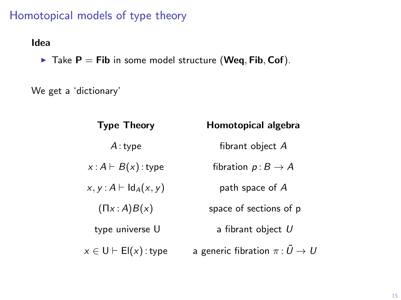# Homotopical models of type theory

#### Idea

 $\blacktriangleright$  Take P = Fib in some model structure (Weq, Fib, Cof).

We get a 'dictionary'

| <b>Type Theory</b>                     | Homotopical algebra                        |
|----------------------------------------|--------------------------------------------|
| A:type                                 | fibrant object A                           |
| $x: A \vdash B(x)$ : type              | fibration $p: B \to A$                     |
| $x, y: A \vdash \mathsf{Id}_A(x, y)$   | path space of $A$                          |
| $(\Pi x : A)B(x)$                      | space of sections of p                     |
| type universe U                        | a fibrant object $U$                       |
| $x \in U \vdash \mathsf{El}(x)$ : type | a generic fibration $\pi: \tilde{U} \to U$ |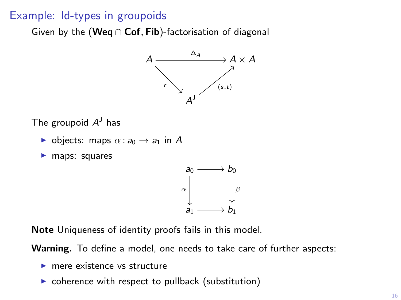### Example: Id-types in groupoids

Given by the (Weq  $\cap$  Cof, Fib)-factorisation of diagonal



The groupoid  $A<sup>J</sup>$  has

- b objects: maps  $\alpha : a_0 \to a_1$  in A
- $\blacktriangleright$  maps: squares



Note Uniqueness of identity proofs fails in this model.

Warning. To define a model, one needs to take care of further aspects:

- $\blacktriangleright$  mere existence vs structure
- $\triangleright$  coherence with respect to pullback (substitution)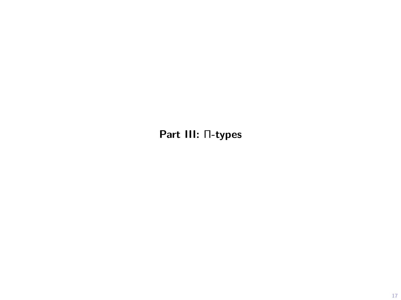Part III: Π-types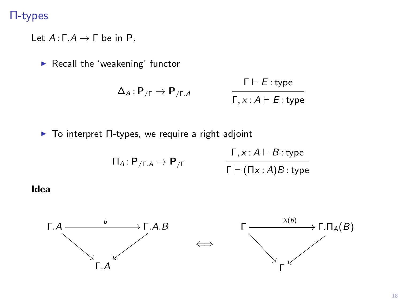### Π-types

Let  $A: \Gamma.A \to \Gamma$  be in **P**.

 $\blacktriangleright$  Recall the 'weakening' functor

$$
\Delta_A: \mathbf{P}_{/\Gamma} \to \mathbf{P}_{/\Gamma.A} \qquad \qquad \frac{\Gamma \vdash E: \text{type}}{\Gamma, x:A \vdash E: \text{type}}
$$

**-** To interpret Π-types, we require a right adjoint

$$
\Pi_A: \mathbf{P}_{/\Gamma.A} \to \mathbf{P}_{/\Gamma}
$$
\n
$$
\frac{\Gamma, x:A \vdash B: \text{type}}{\Gamma \vdash (\Pi x:A)B: \text{type}}
$$

Idea

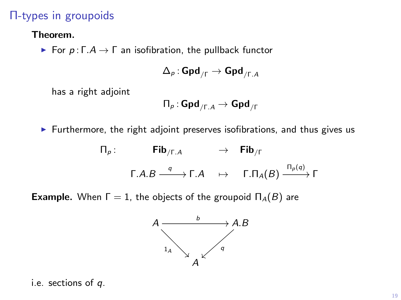## Π-types in groupoids

Theorem.

For  $p: \Gamma.A \to \Gamma$  an isofibration, the pullback functor

$$
\Delta_\rho : \mathbf{Gpd}_{/\Gamma} \to \mathbf{Gpd}_{/\Gamma,A}
$$

has a right adjoint

$$
\Pi_{\rho} : \mathbf{Gpd}_{/\Gamma.A} \to \mathbf{Gpd}_{/\Gamma}
$$

 $\blacktriangleright$  Furthermore, the right adjoint preserves isofibrations, and thus gives us

$$
\begin{array}{cccc}\n\Pi_{\rho}\colon & \textbf{Fib}_{/\Gamma.A} & \to & \textbf{Fib}_{/\Gamma} \\
 & \pi.A.B \xrightarrow{q} \Gamma.A & \mapsto & \Gamma.\Pi_{A}(B) \xrightarrow{\Pi_{\rho}(q)} \Gamma\n\end{array}
$$

**Example.** When  $\Gamma = 1$ , the objects of the groupoid  $\Pi_A(B)$  are



i.e. sections of q.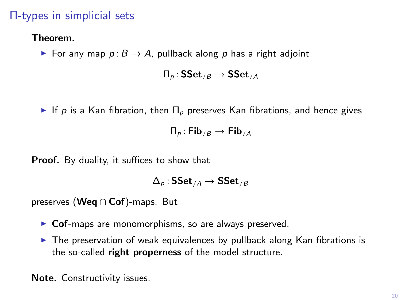## Π-types in simplicial sets

#### Theorem.

For any map  $p: B \to A$ , pullback along p has a right adjoint

 $\Pi_{p}$ : SSet<sub>/B</sub>  $\rightarrow$  SSet<sub>/A</sub>

If p is a Kan fibration, then  $\Pi_p$  preserves Kan fibrations, and hence gives

 $\Pi_{p}$ : Fib<sub>/B</sub>  $\rightarrow$  Fib<sub>/A</sub>

Proof. By duality, it suffices to show that

$$
\Delta_\rho : \operatorname{\sf SSet}_{/A} \to \operatorname{\sf SSet}_{/B}
$$

preserves (Weq ∩ Cof)-maps. But

- $\triangleright$  Cof-maps are monomorphisms, so are always preserved.
- $\triangleright$  The preservation of weak equivalences by pullback along Kan fibrations is the so-called right properness of the model structure.

Note. Constructivity issues.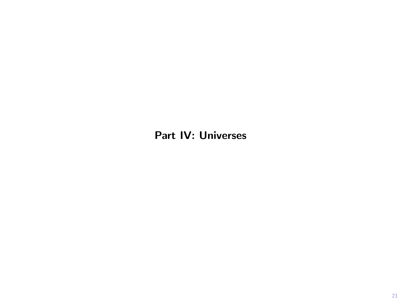## Part IV: Universes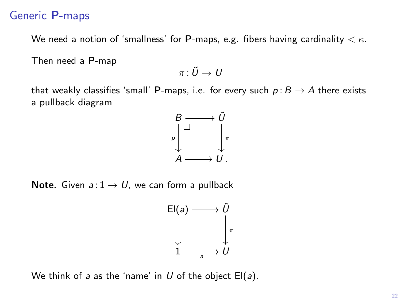### Generic P-maps

We need a notion of 'smallness' for **P**-maps, e.g. fibers having cardinality  $\lt \kappa$ .

Then need a P-map

 $\pi: \tilde{U} \to U$ 

that weakly classifies 'small' **P**-maps, i.e. for every such  $p : B \to A$  there exists a pullback diagram



**Note.** Given  $a:1 \rightarrow U$ , we can form a pullback



We think of a as the 'name' in  $U$  of the object  $El(a)$ .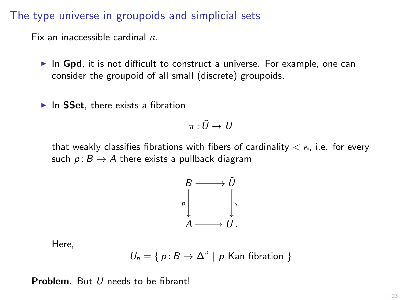### The type universe in groupoids and simplicial sets

Fix an inaccessible cardinal  $\kappa$ .

- $\triangleright$  In Gpd, it is not difficult to construct a universe. For example, one can consider the groupoid of all small (discrete) groupoids.
- $\blacktriangleright$  In SSet, there exists a fibration

$$
\pi\colon \tilde{U}\to\,
$$

that weakly classifies fibrations with fibers of cardinality  $\lt \kappa$ , i.e. for every such  $p: B \to A$  there exists a pullback diagram



Here,

$$
U_n = \{ p : B \to \Delta^n \mid p \text{ Kan fibration } \}
$$

Problem. But *U* needs to be fibrant!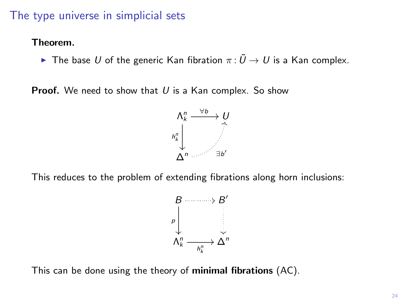### The type universe in simplicial sets

#### Theorem.

**►** The base U of the generic Kan fibration  $\pi : \tilde{U} \to U$  is a Kan complex.

**Proof.** We need to show that  $U$  is a Kan complex. So show



This reduces to the problem of extending fibrations along horn inclusions:



This can be done using the theory of minimal fibrations (AC).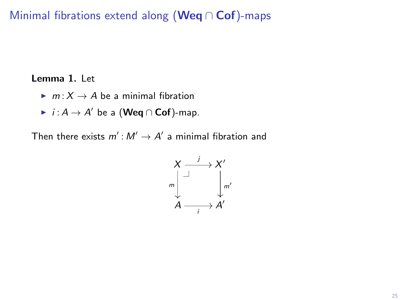## Minimal fibrations extend along (Weq ∩ Cof)-maps

#### Lemma 1. Let

- $\blacktriangleright$  m :  $X \to A$  be a minimal fibration
- $\blacktriangleright$   $i : A \to A'$  be a (Weq  $\cap$  Cof)-map.

Then there exists  $m': M' \to A'$  a minimal fibration and

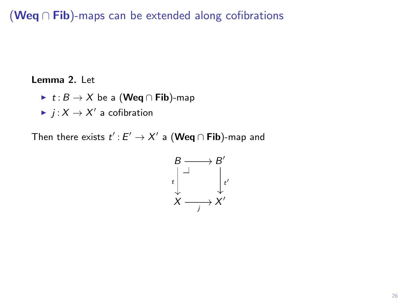# (Weq ∩ Fib)-maps can be extended along cofibrations

#### Lemma 2. Let

- $\triangleright$  t :  $B \to X$  be a (Weq ∩ Fib)-map
- $\blacktriangleright$   $j: X \to X'$  a cofibration

Then there exists  $t'$  :  $E' \to X'$  a  $(\mathsf{Weq} \cap \mathsf{Fib})$ -map and

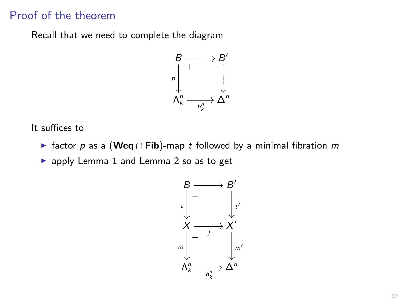## Proof of the theorem

Recall that we need to complete the diagram



It suffices to

► factor p as a (Weq  $\cap$  Fib)-map t followed by a minimal fibration m

 $\blacktriangleright$  apply Lemma 1 and Lemma 2 so as to get